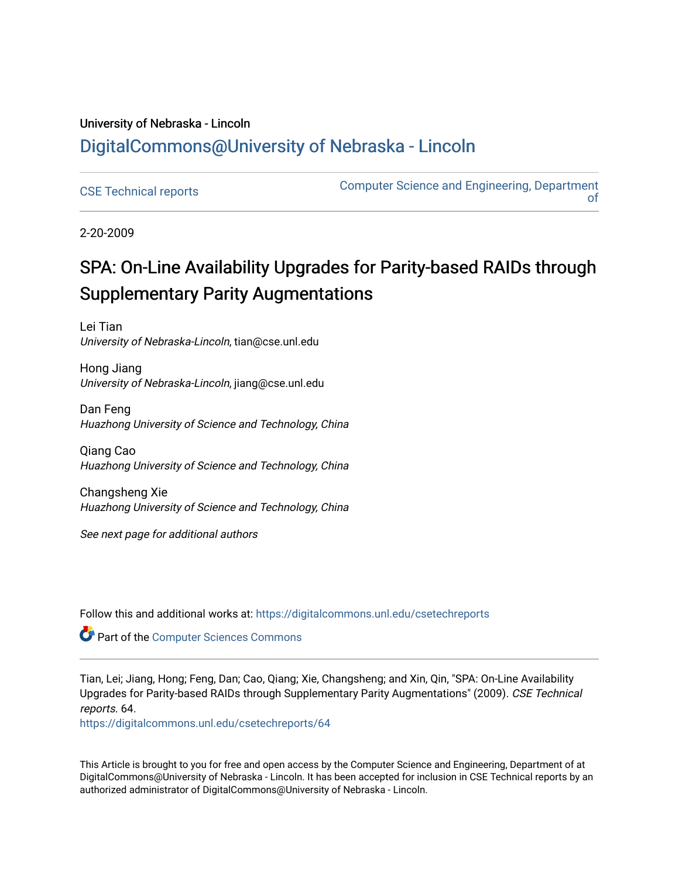# University of Nebraska - Lincoln [DigitalCommons@University of Nebraska - Lincoln](https://digitalcommons.unl.edu/)

[CSE Technical reports](https://digitalcommons.unl.edu/csetechreports) **COMPUTER COMPUTER COMPUTER** COMPUTER COMPUTER COMPUTER COMPUTER COMPUTER COMPUTER COMPUTE [of](https://digitalcommons.unl.edu/computerscienceandengineering) 

2-20-2009

# SPA: On-Line Availability Upgrades for Parity-based RAIDs through Supplementary Parity Augmentations

Lei Tian University of Nebraska-Lincoln, tian@cse.unl.edu

Hong Jiang University of Nebraska-Lincoln, jiang@cse.unl.edu

Dan Feng Huazhong University of Science and Technology, China

Qiang Cao Huazhong University of Science and Technology, China

Changsheng Xie Huazhong University of Science and Technology, China

See next page for additional authors

Follow this and additional works at: [https://digitalcommons.unl.edu/csetechreports](https://digitalcommons.unl.edu/csetechreports?utm_source=digitalcommons.unl.edu%2Fcsetechreports%2F64&utm_medium=PDF&utm_campaign=PDFCoverPages) 

**Part of the [Computer Sciences Commons](http://network.bepress.com/hgg/discipline/142?utm_source=digitalcommons.unl.edu%2Fcsetechreports%2F64&utm_medium=PDF&utm_campaign=PDFCoverPages)** 

Tian, Lei; Jiang, Hong; Feng, Dan; Cao, Qiang; Xie, Changsheng; and Xin, Qin, "SPA: On-Line Availability Upgrades for Parity-based RAIDs through Supplementary Parity Augmentations" (2009). CSE Technical reports. 64.

[https://digitalcommons.unl.edu/csetechreports/64](https://digitalcommons.unl.edu/csetechreports/64?utm_source=digitalcommons.unl.edu%2Fcsetechreports%2F64&utm_medium=PDF&utm_campaign=PDFCoverPages)

This Article is brought to you for free and open access by the Computer Science and Engineering, Department of at DigitalCommons@University of Nebraska - Lincoln. It has been accepted for inclusion in CSE Technical reports by an authorized administrator of DigitalCommons@University of Nebraska - Lincoln.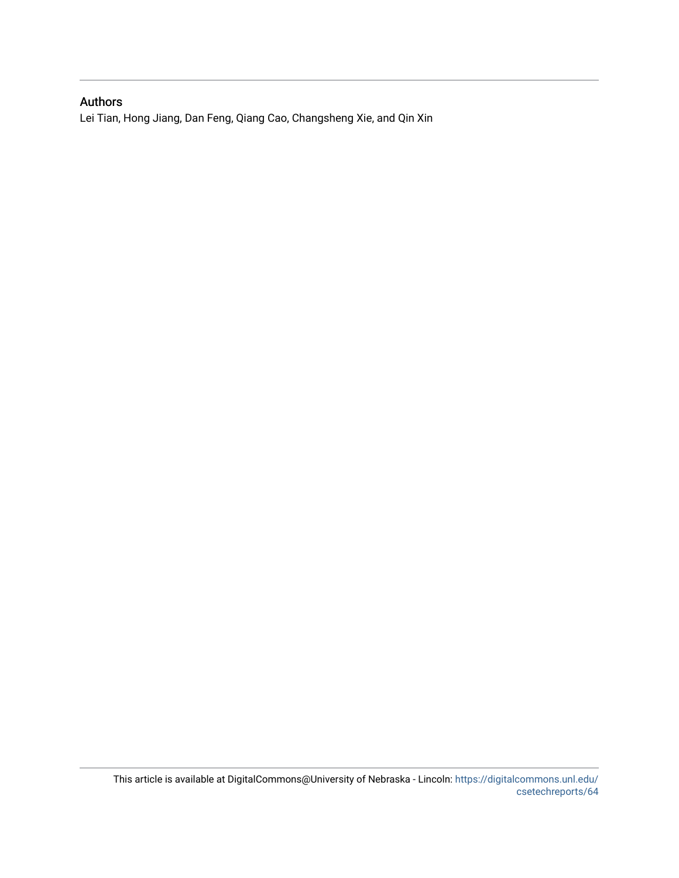# Authors

Lei Tian, Hong Jiang, Dan Feng, Qiang Cao, Changsheng Xie, and Qin Xin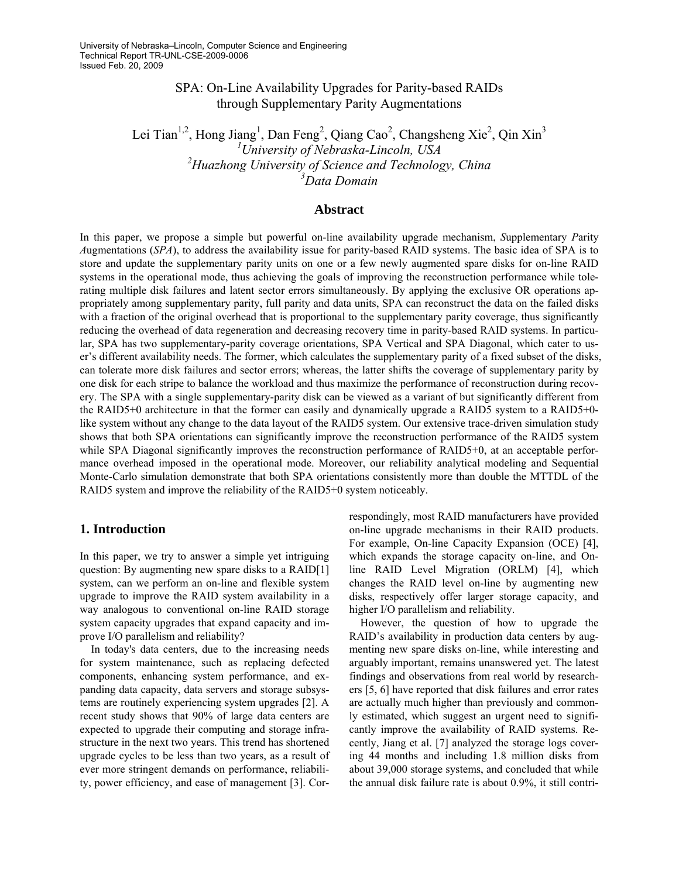# SPA: On-Line Availability Upgrades for Parity-based RAIDs through Supplementary Parity Augmentations

Lei Tian<sup>1,2</sup>, Hong Jiang<sup>1</sup>, Dan Feng<sup>2</sup>, Qiang Cao<sup>2</sup>, Changsheng Xie<sup>2</sup>, Qin Xin<sup>3</sup> *University of Nebraska-Lincoln, USA Huazhong University of Science and Technology, China Data Domain* 

#### **Abstract**

In this paper, we propose a simple but powerful on-line availability upgrade mechanism, *S*upplementary *P*arity *A*ugmentations (*SPA*), to address the availability issue for parity-based RAID systems. The basic idea of SPA is to store and update the supplementary parity units on one or a few newly augmented spare disks for on-line RAID systems in the operational mode, thus achieving the goals of improving the reconstruction performance while tolerating multiple disk failures and latent sector errors simultaneously. By applying the exclusive OR operations appropriately among supplementary parity, full parity and data units, SPA can reconstruct the data on the failed disks with a fraction of the original overhead that is proportional to the supplementary parity coverage, thus significantly reducing the overhead of data regeneration and decreasing recovery time in parity-based RAID systems. In particular, SPA has two supplementary-parity coverage orientations, SPA Vertical and SPA Diagonal, which cater to user's different availability needs. The former, which calculates the supplementary parity of a fixed subset of the disks, can tolerate more disk failures and sector errors; whereas, the latter shifts the coverage of supplementary parity by one disk for each stripe to balance the workload and thus maximize the performance of reconstruction during recovery. The SPA with a single supplementary-parity disk can be viewed as a variant of but significantly different from the RAID5+0 architecture in that the former can easily and dynamically upgrade a RAID5 system to a RAID5+0 like system without any change to the data layout of the RAID5 system. Our extensive trace-driven simulation study shows that both SPA orientations can significantly improve the reconstruction performance of the RAID5 system while SPA Diagonal significantly improves the reconstruction performance of RAID5+0, at an acceptable performance overhead imposed in the operational mode. Moreover, our reliability analytical modeling and Sequential Monte-Carlo simulation demonstrate that both SPA orientations consistently more than double the MTTDL of the RAID5 system and improve the reliability of the RAID5+0 system noticeably.

### **1. Introduction**

In this paper, we try to answer a simple yet intriguing question: By augmenting new spare disks to a RAID[1] system, can we perform an on-line and flexible system upgrade to improve the RAID system availability in a way analogous to conventional on-line RAID storage system capacity upgrades that expand capacity and improve I/O parallelism and reliability?

In today's data centers, due to the increasing needs for system maintenance, such as replacing defected components, enhancing system performance, and expanding data capacity, data servers and storage subsystems are routinely experiencing system upgrades [2]. A recent study shows that 90% of large data centers are expected to upgrade their computing and storage infrastructure in the next two years. This trend has shortened upgrade cycles to be less than two years, as a result of ever more stringent demands on performance, reliability, power efficiency, and ease of management [3]. Correspondingly, most RAID manufacturers have provided on-line upgrade mechanisms in their RAID products. For example, On-line Capacity Expansion (OCE) [4], which expands the storage capacity on-line, and Online RAID Level Migration (ORLM) [4], which changes the RAID level on-line by augmenting new disks, respectively offer larger storage capacity, and higher I/O parallelism and reliability.

However, the question of how to upgrade the RAID's availability in production data centers by augmenting new spare disks on-line, while interesting and arguably important, remains unanswered yet. The latest findings and observations from real world by researchers [5, 6] have reported that disk failures and error rates are actually much higher than previously and commonly estimated, which suggest an urgent need to significantly improve the availability of RAID systems. Recently, Jiang et al. [7] analyzed the storage logs covering 44 months and including 1.8 million disks from about 39,000 storage systems, and concluded that while the annual disk failure rate is about 0.9%, it still contri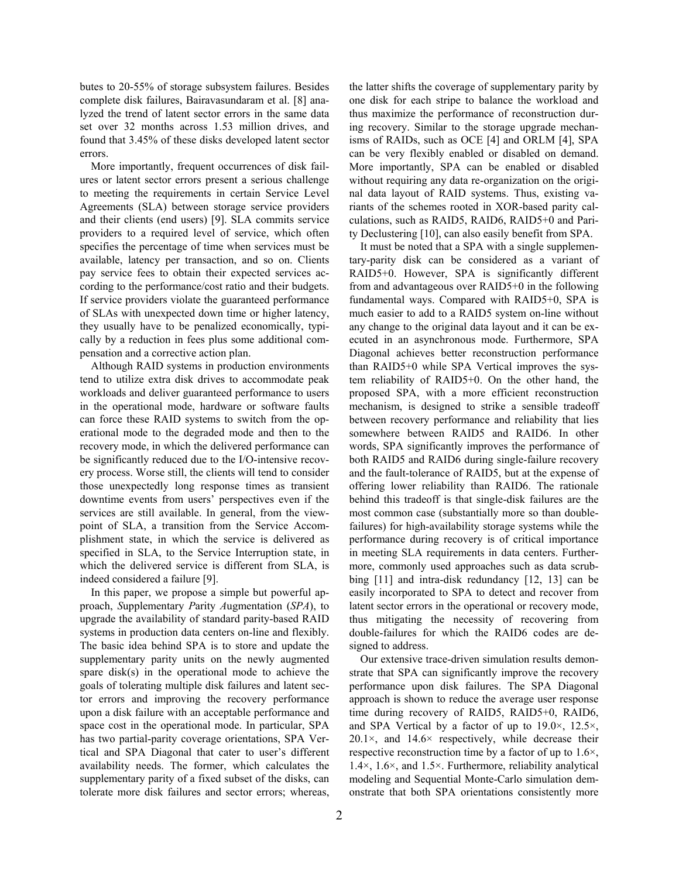butes to 20-55% of storage subsystem failures. Besides complete disk failures, Bairavasundaram et al. [8] analyzed the trend of latent sector errors in the same data set over 32 months across 1.53 million drives, and found that 3.45% of these disks developed latent sector errors.

More importantly, frequent occurrences of disk failures or latent sector errors present a serious challenge to meeting the requirements in certain Service Level Agreements (SLA) between storage service providers and their clients (end users) [9]. SLA commits service providers to a required level of service, which often specifies the percentage of time when services must be available, latency per transaction, and so on. Clients pay service fees to obtain their expected services according to the performance/cost ratio and their budgets. If service providers violate the guaranteed performance of SLAs with unexpected down time or higher latency, they usually have to be penalized economically, typically by a reduction in fees plus some additional compensation and a corrective action plan.

Although RAID systems in production environments tend to utilize extra disk drives to accommodate peak workloads and deliver guaranteed performance to users in the operational mode, hardware or software faults can force these RAID systems to switch from the operational mode to the degraded mode and then to the recovery mode, in which the delivered performance can be significantly reduced due to the I/O-intensive recovery process. Worse still, the clients will tend to consider those unexpectedly long response times as transient downtime events from users' perspectives even if the services are still available. In general, from the viewpoint of SLA, a transition from the Service Accomplishment state, in which the service is delivered as specified in SLA, to the Service Interruption state, in which the delivered service is different from SLA, is indeed considered a failure [9].

In this paper, we propose a simple but powerful approach, *S*upplementary *P*arity *A*ugmentation (*SPA*), to upgrade the availability of standard parity-based RAID systems in production data centers on-line and flexibly. The basic idea behind SPA is to store and update the supplementary parity units on the newly augmented spare disk(s) in the operational mode to achieve the goals of tolerating multiple disk failures and latent sector errors and improving the recovery performance upon a disk failure with an acceptable performance and space cost in the operational mode. In particular, SPA has two partial-parity coverage orientations, SPA Vertical and SPA Diagonal that cater to user's different availability needs. The former, which calculates the supplementary parity of a fixed subset of the disks, can tolerate more disk failures and sector errors; whereas,

the latter shifts the coverage of supplementary parity by one disk for each stripe to balance the workload and thus maximize the performance of reconstruction during recovery. Similar to the storage upgrade mechanisms of RAIDs, such as OCE [4] and ORLM [4], SPA can be very flexibly enabled or disabled on demand. More importantly, SPA can be enabled or disabled without requiring any data re-organization on the original data layout of RAID systems. Thus, existing variants of the schemes rooted in XOR-based parity calculations, such as RAID5, RAID6, RAID5+0 and Parity Declustering [10], can also easily benefit from SPA.

It must be noted that a SPA with a single supplementary-parity disk can be considered as a variant of RAID5+0. However, SPA is significantly different from and advantageous over RAID5+0 in the following fundamental ways. Compared with RAID5+0, SPA is much easier to add to a RAID5 system on-line without any change to the original data layout and it can be executed in an asynchronous mode. Furthermore, SPA Diagonal achieves better reconstruction performance than RAID5+0 while SPA Vertical improves the system reliability of RAID5+0. On the other hand, the proposed SPA, with a more efficient reconstruction mechanism, is designed to strike a sensible tradeoff between recovery performance and reliability that lies somewhere between RAID5 and RAID6. In other words, SPA significantly improves the performance of both RAID5 and RAID6 during single-failure recovery and the fault-tolerance of RAID5, but at the expense of offering lower reliability than RAID6. The rationale behind this tradeoff is that single-disk failures are the most common case (substantially more so than doublefailures) for high-availability storage systems while the performance during recovery is of critical importance in meeting SLA requirements in data centers. Furthermore, commonly used approaches such as data scrubbing [11] and intra-disk redundancy [12, 13] can be easily incorporated to SPA to detect and recover from latent sector errors in the operational or recovery mode, thus mitigating the necessity of recovering from double-failures for which the RAID6 codes are designed to address.

Our extensive trace-driven simulation results demonstrate that SPA can significantly improve the recovery performance upon disk failures. The SPA Diagonal approach is shown to reduce the average user response time during recovery of RAID5, RAID5+0, RAID6, and SPA Vertical by a factor of up to 19.0×, 12.5×,  $20.1\times$ , and  $14.6\times$  respectively, while decrease their respective reconstruction time by a factor of up to 1.6×, 1.4×, 1.6×, and 1.5×. Furthermore, reliability analytical modeling and Sequential Monte-Carlo simulation demonstrate that both SPA orientations consistently more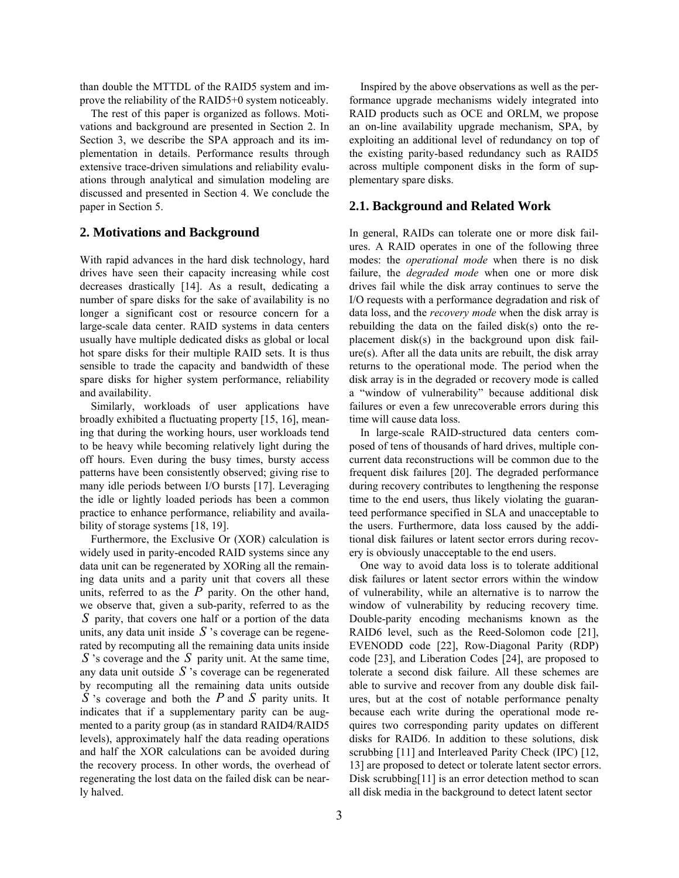than double the MTTDL of the RAID5 system and improve the reliability of the RAID5+0 system noticeably.

The rest of this paper is organized as follows. Motivations and background are presented in Section 2. In Section 3, we describe the SPA approach and its implementation in details. Performance results through extensive trace-driven simulations and reliability evaluations through analytical and simulation modeling are discussed and presented in Section 4. We conclude the paper in Section 5. **2.1. Background and Related Work**

With rapid advances in the hard disk technology, hard drives have seen their capacity increasing while cost decreases drastically [14]. As a result, dedicating a number of spare disks for the sake of availability is no longer a significant cost or resource concern for a large-scale data center. RAID systems in data centers usually have multiple dedicated disks as global or local hot spare disks for their multiple RAID sets. It is thus sensible to trade the capacity and bandwidth of these spare disks for higher system performance, reliability and availability.

Similarly, workloads of user applications have broadly exhibited a fluctuating property [15, 16], meaning that during the working hours, user workloads tend to be heavy while becoming relatively light during the off hours. Even during the busy times, bursty access patterns have been consistently observed; giving rise to many idle periods between I/O bursts [17]. Leveraging the idle or lightly loaded periods has been a common practice to enhance performance, reliability and availability of storage systems [18, 19].

Furthermore, the Exclusive Or (XOR) calculation is widely used in parity-encoded RAID systems since any data unit can be regenerated by XORing all the remaining data units and a parity unit that covers all these units, referred to as the  $P$  parity. On the other hand, we observe that, given a sub-parity, referred to as the parity, that covers one half or a portion of the data *S* units, any data unit inside  $S$  's coverage can be regenerated by recomputing all the remaining data units inside  $S$ 's coverage and the  $S$  parity unit. At the same time, any data unit outside *S* 's coverage can be regenerated by recomputing all the remaining data units outside  $\overline{S}$  's coverage and both the *P* and *S* parity units. It indicates that if a supplementary parity can be augmented to a parity group (as in standard RAID4/RAID5 levels), approximately half the data reading operations and half the XOR calculations can be avoided during the recovery process. In other words, the overhead of regenerating the lost data on the failed disk can be nearly halved.

Inspired by the above observations as well as the performance upgrade mechanisms widely integrated into RAID products such as OCE and ORLM, we propose an on-line availability upgrade mechanism, SPA, by exploiting an additional level of redundancy on top of the existing parity-based redundancy such as RAID5 across multiple component disks in the form of supplementary spare disks.

**2. Motivations and Background** In general, RAIDs can tolerate one or more disk failures. A RAID operates in one of the following three modes: the *operational mode* when there is no disk failure, the *degraded mode* when one or more disk drives fail while the disk array continues to serve the I/O requests with a performance degradation and risk of data loss, and the *recovery mode* when the disk array is rebuilding the data on the failed disk(s) onto the replacement disk(s) in the background upon disk failure(s). After all the data units are rebuilt, the disk array returns to the operational mode. The period when the disk array is in the degraded or recovery mode is called a "window of vulnerability" because additional disk failures or even a few unrecoverable errors during this time will cause data loss.

> In large-scale RAID-structured data centers composed of tens of thousands of hard drives, multiple concurrent data reconstructions will be common due to the frequent disk failures [20]. The degraded performance during recovery contributes to lengthening the response time to the end users, thus likely violating the guaranteed performance specified in SLA and unacceptable to the users. Furthermore, data loss caused by the additional disk failures or latent sector errors during recovery is obviously unacceptable to the end users.

> One way to avoid data loss is to tolerate additional disk failures or latent sector errors within the window of vulnerability, while an alternative is to narrow the window of vulnerability by reducing recovery time. Double-parity encoding mechanisms known as the RAID6 level, such as the Reed-Solomon code [21], EVENODD code [22], Row-Diagonal Parity (RDP) code [23], and Liberation Codes [24], are proposed to tolerate a second disk failure. All these schemes are able to survive and recover from any double disk failures, but at the cost of notable performance penalty because each write during the operational mode requires two corresponding parity updates on different disks for RAID6. In addition to these solutions, disk scrubbing [11] and Interleaved Parity Check (IPC) [12, 13] are proposed to detect or tolerate latent sector errors. Disk scrubbing[11] is an error detection method to scan all disk media in the background to detect latent sector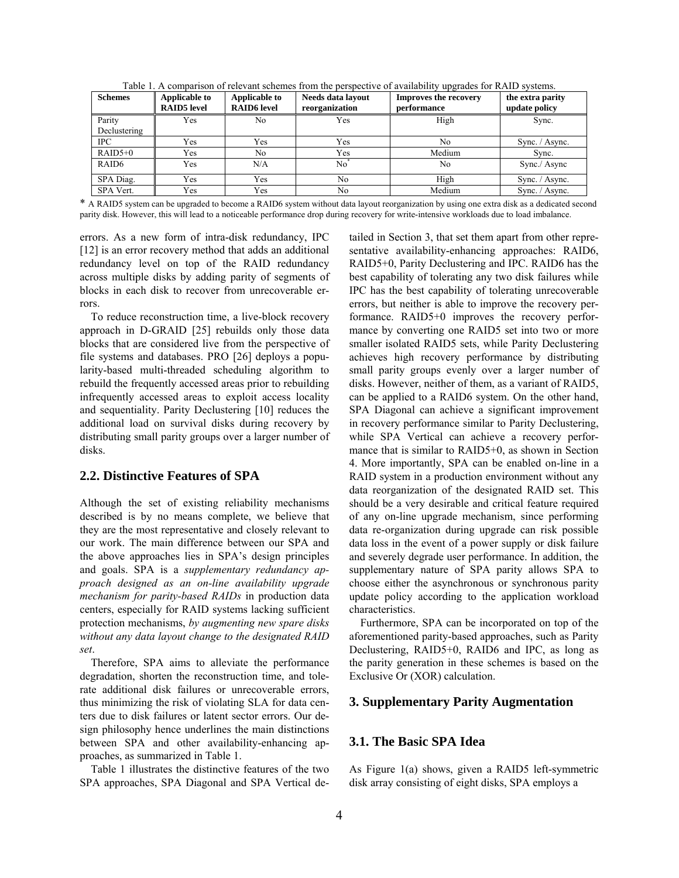| <b>Schemes</b>    | <b>Applicable to</b><br><b>RAID5</b> level | <b>Applicable to</b><br><b>RAID6</b> level | Needs data layout<br>reorganization | <b>Improves the recovery</b><br>update policy<br>performance |                |
|-------------------|--------------------------------------------|--------------------------------------------|-------------------------------------|--------------------------------------------------------------|----------------|
| Parity            | Yes                                        | No                                         | Yes                                 | High                                                         | Sync.          |
| Declustering      |                                            |                                            |                                     |                                                              |                |
| IPC.              | Yes                                        | Yes                                        | Yes                                 | N <sub>0</sub>                                               | Sync. / Async. |
| $RAID5+0$         | Yes                                        | No.                                        | Yes                                 | Medium                                                       | Sync.          |
| RAID <sub>6</sub> | Yes                                        | N/A                                        | No <sup>*</sup><br>N <sub>0</sub>   |                                                              | Sync./ Async   |
| SPA Diag.         | Yes                                        | Yes                                        | No                                  | High                                                         | Sync. / Async. |
| SPA Vert.         | Yes                                        | Yes                                        | No                                  | Medium                                                       | Sync. / Async. |

Table 1. A comparison of relevant schemes from the perspective of availability upgrades for RAID systems.

\* A RAID5 system can be upgraded to become a RAID6 system without data layout reorganization by using one extra disk as a dedicated second parity disk. However, this will lead to a noticeable performance drop during recovery for write-intensive workloads due to load imbalance.

errors. As a new form of intra-disk redundancy, IPC [12] is an error recovery method that adds an additional redundancy level on top of the RAID redundancy across multiple disks by adding parity of segments of blocks in each disk to recover from unrecoverable errors.

To reduce reconstruction time, a live-block recovery approach in D-GRAID [25] rebuilds only those data blocks that are considered live from the perspective of file systems and databases. PRO [26] deploys a popularity-based multi-threaded scheduling algorithm to rebuild the frequently accessed areas prior to rebuilding infrequently accessed areas to exploit access locality and sequentiality. Parity Declustering [10] reduces the additional load on survival disks during recovery by distributing small parity groups over a larger number of disks.

### **2.2. Distinctive Features of SPA**

Although the set of existing reliability mechanisms described is by no means complete, we believe that they are the most representative and closely relevant to our work. The main difference between our SPA and the above approaches lies in SPA's design principles and goals. SPA is a *supplementary redundancy approach designed as an on-line availability upgrade mechanism for parity-based RAIDs* in production data centers, especially for RAID systems lacking sufficient protection mechanisms, *by augmenting new spare disks without any data layout change to the designated RAID set*.

Therefore, SPA aims to alleviate the performance degradation, shorten the reconstruction time, and tolerate additional disk failures or unrecoverable errors, thus minimizing the risk of violating SLA for data centers due to disk failures or latent sector errors. Our design philosophy hence underlines the main distinctions between SPA and other availability-enhancing approaches, as summarized in Table 1.

Table 1 illustrates the distinctive features of the two SPA approaches, SPA Diagonal and SPA Vertical detailed in Section 3, that set them apart from other representative availability-enhancing approaches: RAID6, RAID5+0, Parity Declustering and IPC. RAID6 has the best capability of tolerating any two disk failures while IPC has the best capability of tolerating unrecoverable errors, but neither is able to improve the recovery performance. RAID5+0 improves the recovery performance by converting one RAID5 set into two or more smaller isolated RAID5 sets, while Parity Declustering achieves high recovery performance by distributing small parity groups evenly over a larger number of disks. However, neither of them, as a variant of RAID5, can be applied to a RAID6 system. On the other hand, SPA Diagonal can achieve a significant improvement in recovery performance similar to Parity Declustering, while SPA Vertical can achieve a recovery performance that is similar to RAID5+0, as shown in Section 4. More importantly, SPA can be enabled on-line in a RAID system in a production environment without any data reorganization of the designated RAID set. This should be a very desirable and critical feature required of any on-line upgrade mechanism, since performing data re-organization during upgrade can risk possible data loss in the event of a power supply or disk failure and severely degrade user performance. In addition, the supplementary nature of SPA parity allows SPA to choose either the asynchronous or synchronous parity update policy according to the application workload characteristics.

Furthermore, SPA can be incorporated on top of the aforementioned parity-based approaches, such as Parity Declustering, RAID5+0, RAID6 and IPC, as long as the parity generation in these schemes is based on the Exclusive Or (XOR) calculation.

## **3. Supplementary Parity Augmentation**

## **3.1. The Basic SPA Idea**

As Figure 1(a) shows, given a RAID5 left-symmetric disk array consisting of eight disks, SPA employs a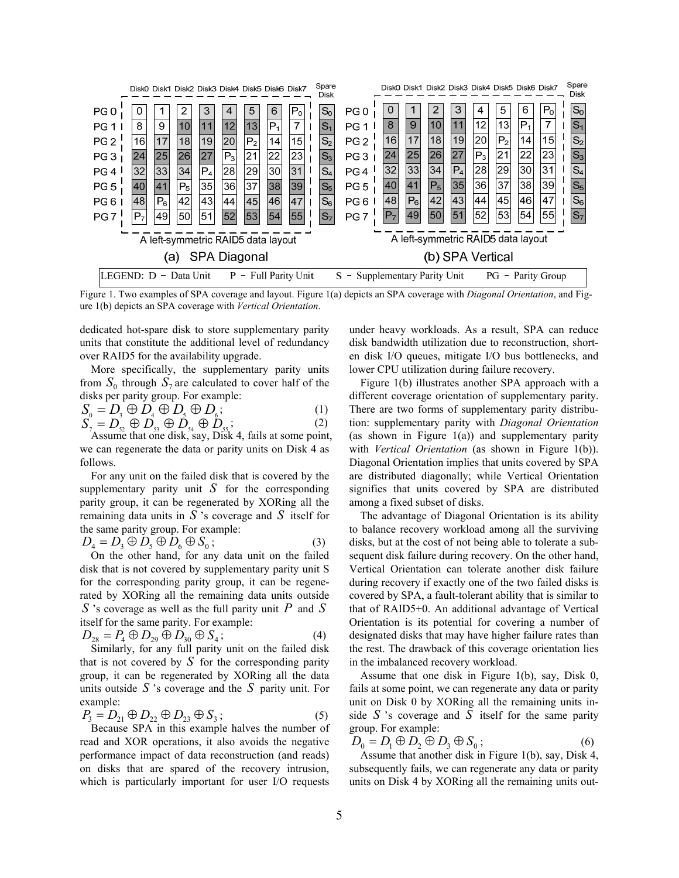

Figure 1. Two examples of SPA coverage and layout. Figure 1(a) depicts an SPA coverage with *Diagonal Orientation*, and Figure 1(b) depicts an SPA coverage with *Vertical Orientation*.

dedicated hot-spare disk to store supplementary parity units that constitute the additional level of redundancy over RAID5 for the availability upgrade.

More specifically, the supplementary parity units from  $S_0$  through  $S_7$  are calculated to cover half of the disks per parity group. For example:

$$
S_0 = D_3 \oplus D_4 \oplus D_5 \oplus D_6; \tag{1}
$$

 $S$  $_{7}$   $=$   $D_{\mathrm{s2}}$   $\oplus$   $D_{\mathrm{s3}}$   $\oplus$   $D_{\mathrm{s4}}$   $\oplus$   $D_{\mathrm{s5}}$  $(2)$ 

Assume that one disk, say, Disk 4, fails at some point, we can regenerate the data or parity units on Disk 4 as follows.

For any unit on the failed disk that is covered by the supplementary parity unit  $S$  for the corresponding parity group, it can be regenerated by XORing all the remaining data units in  $S$  's coverage and  $S$  itself for the same parity group. For example:

$$
D_4 = D_3 \oplus D_5 \oplus D_6 \oplus S_0; \tag{3}
$$

 $\mu_4 = D_3 \cup D_5 \cup D_6 \cup D_0$ ,<br>On the other hand, for any data unit on the failed disk that is not covered by supplementary parity unit S for the corresponding parity group, it can be regenerated by XORing all the remaining data units outside S 's coverage as well as the full parity unit  $P$  and  $S$ itself for the same parity. For example:<br> $P_0 \cap P_1 \cap P_2 \cap P_3$ 

$$
D_{28} = P_4 \oplus D_{29} \oplus D_{30} \oplus S_4;
$$
 (4)  
Similarly, for any full parity unit on the failed disk  
that is not covered by  $S$  for the corresponding positive

that is not covered by *S* for the corresponding parity group, it can be regenerated by XORing all the data units outside *S* 's coverage and the *S* parity unit. For example:

$$
P_3 = D_{21} \oplus D_{22} \oplus D_{23} \oplus S_3;
$$
 (5)

Because SPA in this example halves the number of read and XOR operations, it also avoids the negative performance impact of data reconstruction (and reads) on disks that are spared of the recovery intrusion, which is particularly important for user I/O requests under heavy workloads. As a result, SPA can reduce disk bandwidth utilization due to reconstruction, shorten disk I/O queues, mitigate I/O bus bottlenecks, and lower CPU utilization during failure recovery.

Figure 1(b) illustrates another SPA approach with a different coverage orientation of supplementary parity. There are two forms of supplementary parity distribution: supplementary parity with *Diagonal Orientation* (as shown in Figure  $1(a)$ ) and supplementary parity with *Vertical Orientation* (as shown in Figure 1(b)). Diagonal Orientation implies that units covered by SPA are distributed diagonally; while Vertical Orientation signifies that units covered by SPA are distributed among a fixed subset of disks.

The advantage of Diagonal Orientation is its ability to balance recovery workload among all the surviving disks, but at the cost of not being able to tolerate a subsequent disk failure during recovery. On the other hand, Vertical Orientation can tolerate another disk failure during recovery if exactly one of the two failed disks is covered by SPA, a fault-tolerant ability that is similar to that of RAID5+0. An additional advantage of Vertical Orientation is its potential for covering a number of designated disks that may have higher failure rates than the rest. The drawback of this coverage orientation lies in the imbalanced recovery workload.

Assume that one disk in Figure 1(b), say, Disk 0, fails at some point, we can regenerate any data or parity unit on Disk 0 by XORing all the remaining units inside  $S$  's coverage and  $S$  itself for the same parity group. For example:

 $D_0 = D_1 \oplus D_2 \oplus D_3 \oplus S_0;$  (6)

Assume that another disk in Figure 1(b), say, Disk 4, subsequently fails, we can regenerate any data or parity units on Disk 4 by XORing all the remaining units out-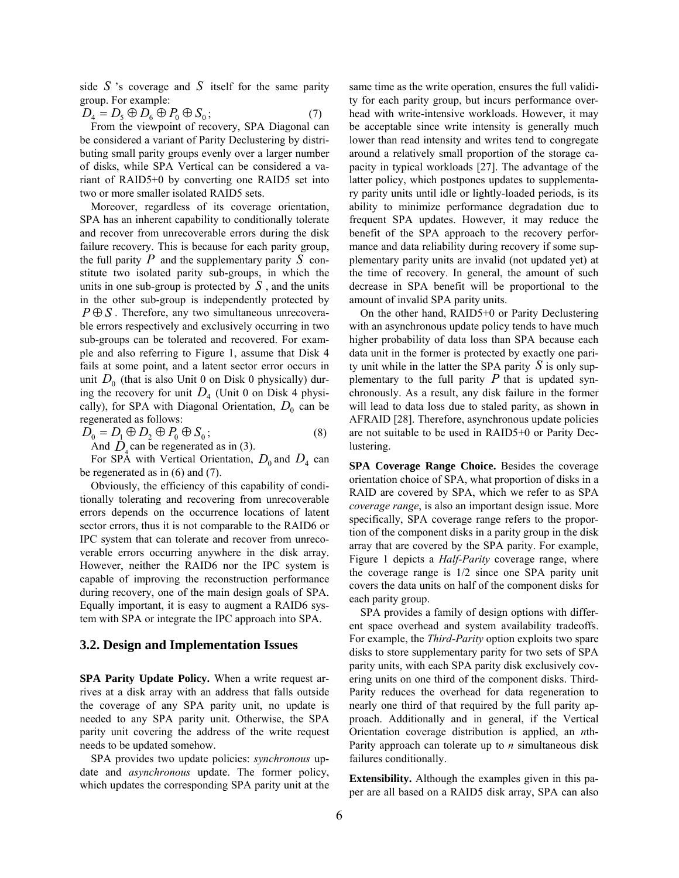side  $S$  's coverage and  $S$  itself for the same parity group. For example:

 $D_4 = D_5 \oplus D_6 \oplus P_0 \oplus S_0;$  (7)

From the viewpoint of recovery, SPA Diagonal can be considered a variant of Parity Declustering by distributing small parity groups evenly over a larger number of disks, while SPA Vertical can be considered a variant of RAID5+0 by converting one RAID5 set into two or more smaller isolated RAID5 sets.

Moreover, regardless of its coverage orientation, SPA has an inherent capability to conditionally tolerate and recover from unrecoverable errors during the disk failure recovery. This is because for each parity group, the full parity  $\overline{P}$  and the supplementary parity  $\overline{S}$  constitute two isolated parity sub-groups, in which the units in one sub-group is protected by  $S$ , and the units in the other sub-group is independently protected by  $P \oplus S$ . Therefore, any two simultaneous unrecoverable errors respectively and exclusively occurring in two sub-groups can be tolerated and recovered. For example and also referring to Figure 1, assume that Disk 4 fails at some point, and a latent sector error occurs in unit  $D_0$  (that is also Unit 0 on Disk 0 physically) during the recovery for unit  $D_4$  (Unit 0 on Disk 4 physically), for SPA with Diagonal Orientation,  $D_0$  can be regenerated as follows:

$$
D_0 = D_1 \oplus D_2 \oplus P_0 \oplus S_0;
$$
  
And *D* can be represented as in (3) (8)

And  $\dot{D}_4$  can be regenerated as in (3). For SPA with Vertical Orientation,  $D_0$  and  $D_4$  can be regenerated as in (6) and (7).

Obviously, the efficiency of this capability of conditionally tolerating and recovering from unrecoverable errors depends on the occurrence locations of latent sector errors, thus it is not comparable to the RAID6 or IPC system that can tolerate and recover from unrecoverable errors occurring anywhere in the disk array. However, neither the RAID6 nor the IPC system is capable of improving the reconstruction performance during recovery, one of the main design goals of SPA. Equally important, it is easy to augment a RAID6 system with SPA or integrate the IPC approach into SPA.

#### **3.2. Design and Implementation Issues**

**SPA Parity Update Policy.** When a write request arrives at a disk array with an address that falls outside the coverage of any SPA parity unit, no update is needed to any SPA parity unit. Otherwise, the SPA parity unit covering the address of the write request needs to be updated somehow.

SPA provides two update policies: *synchronous* update and *asynchronous* update. The former policy, which updates the corresponding SPA parity unit at the same time as the write operation, ensures the full validity for each parity group, but incurs performance overhead with write-intensive workloads. However, it may be acceptable since write intensity is generally much lower than read intensity and writes tend to congregate around a relatively small proportion of the storage capacity in typical workloads [27]. The advantage of the latter policy, which postpones updates to supplementary parity units until idle or lightly-loaded periods, is its ability to minimize performance degradation due to frequent SPA updates. However, it may reduce the benefit of the SPA approach to the recovery performance and data reliability during recovery if some supplementary parity units are invalid (not updated yet) at the time of recovery. In general, the amount of such decrease in SPA benefit will be proportional to the amount of invalid SPA parity units.

On the other hand, RAID5+0 or Parity Declustering with an asynchronous update policy tends to have much higher probability of data loss than SPA because each data unit in the former is protected by exactly one parity unit while in the latter the SPA parity  $S$  is only supplementary to the full parity  $P$  that is updated synchronously. As a result, any disk failure in the former will lead to data loss due to staled parity, as shown in AFRAID [28]. Therefore, asynchronous update policies are not suitable to be used in RAID5+0 or Parity Declustering.

**SPA Coverage Range Choice.** Besides the coverage orientation choice of SPA, what proportion of disks in a RAID are covered by SPA, which we refer to as SPA *coverage range*, is also an important design issue. More specifically, SPA coverage range refers to the proportion of the component disks in a parity group in the disk array that are covered by the SPA parity. For example, Figure 1 depicts a *Half-Parity* coverage range, where the coverage range is 1/2 since one SPA parity unit covers the data units on half of the component disks for each parity group.

SPA provides a family of design options with different space overhead and system availability tradeoffs. For example, the *Third-Parity* option exploits two spare disks to store supplementary parity for two sets of SPA parity units, with each SPA parity disk exclusively covering units on one third of the component disks. Third-Parity reduces the overhead for data regeneration to nearly one third of that required by the full parity approach. Additionally and in general, if the Vertical Orientation coverage distribution is applied, an *n*th-Parity approach can tolerate up to *n* simultaneous disk failures conditionally.

**Extensibility.** Although the examples given in this paper are all based on a RAID5 disk array, SPA can also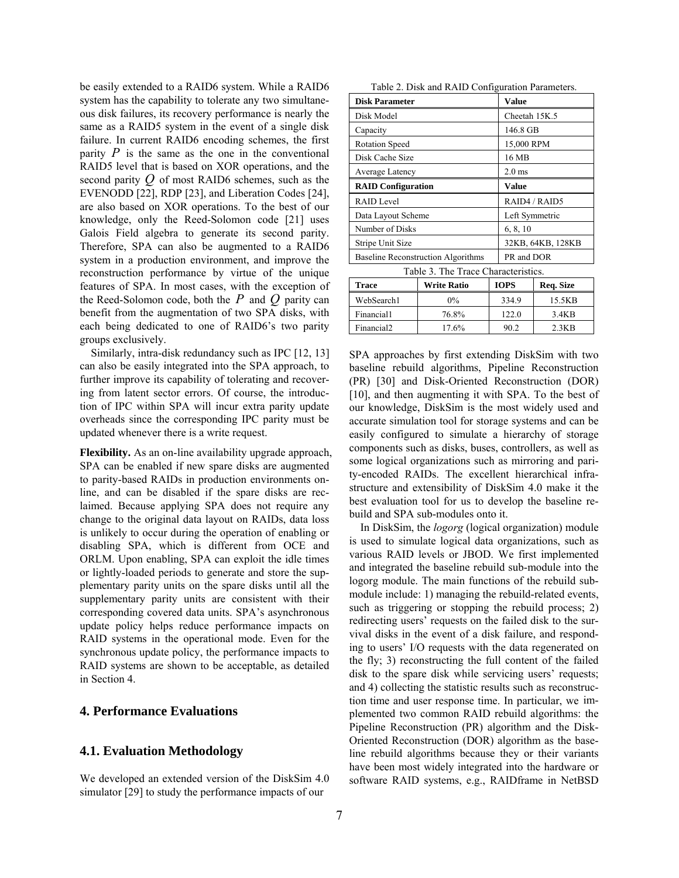be easily extended to a RAID6 system. While a RAID6 system has the capability to tolerate any two simultaneous disk failures, its recovery performance is nearly the same as a RAID5 system in the event of a single disk failure. In current RAID6 encoding schemes, the first parity  $P$  is the same as the one in the conventional RAID5 level that is based on XOR operations, and the second parity  $Q$  of most RAID6 schemes, such as the EVENODD [22], RDP [23], and Liberation Codes [24], are also based on XOR operations. To the best of our knowledge, only the Reed-Solomon code [21] uses Galois Field algebra to generate its second parity. Therefore, SPA can also be augmented to a RAID6 system in a production environment, and improve the reconstruction performance by virtue of the unique features of SPA. In most cases, with the exception of the Reed-Solomon code, both the *P* and *Q* parity can benefit from the augmentation of two SPA disks, with each being dedicated to one of RAID6's two parity groups exclusively.

Similarly, intra-disk redundancy such as IPC [12, 13] can also be easily integrated into the SPA approach, to further improve its capability of tolerating and recovering from latent sector errors. Of course, the introduction of IPC within SPA will incur extra parity update overheads since the corresponding IPC parity must be updated whenever there is a write request.

**Flexibility.** As an on-line availability upgrade approach, SPA can be enabled if new spare disks are augmented to parity-based RAIDs in production environments online, and can be disabled if the spare disks are reclaimed. Because applying SPA does not require any change to the original data layout on RAIDs, data loss is unlikely to occur during the operation of enabling or disabling SPA, which is different from OCE and ORLM. Upon enabling, SPA can exploit the idle times or lightly-loaded periods to generate and store the supplementary parity units on the spare disks until all the supplementary parity units are consistent with their corresponding covered data units. SPA's asynchronous update policy helps reduce performance impacts on RAID systems in the operational mode. Even for the synchronous update policy, the performance impacts to RAID systems are shown to be acceptable, as detailed in Section 4.

### **4. Performance Evaluations**

### **4.1. Evaluation Methodology**

We developed an extended version of the DiskSim 4.0 simulator [29] to study the performance impacts of our

|  | Table 2. Disk and RAID Configuration Parameters. |
|--|--------------------------------------------------|
|--|--------------------------------------------------|

| <b>Disk Parameter</b>                     | <b>Value</b>      |  |  |
|-------------------------------------------|-------------------|--|--|
| Disk Model                                | Cheetah 15K.5     |  |  |
| Capacity                                  | 146.8 GB          |  |  |
| <b>Rotation Speed</b>                     | 15,000 RPM        |  |  |
| Disk Cache Size                           | 16 MB             |  |  |
| Average Latency                           | $2.0$ ms          |  |  |
| <b>RAID Configuration</b>                 | Value             |  |  |
| RAID Level                                | RAID4 / RAID5     |  |  |
| Data Layout Scheme                        | Left Symmetric    |  |  |
| Number of Disks                           | 6, 8, 10          |  |  |
| Stripe Unit Size                          | 32KB, 64KB, 128KB |  |  |
| <b>Baseline Reconstruction Algorithms</b> | PR and DOR        |  |  |
| Table 3. The Trace Characteristics.       |                   |  |  |

| <b>Trace</b>           | <b>Write Ratio</b> | <b>IOPS</b> |        |
|------------------------|--------------------|-------------|--------|
| WebSearch1             | $0\%$              | 334.9       | 15.5KB |
| Financial1             | 76.8%              | 122.0       | 3.4KB  |
| Financial <sub>2</sub> | 17.6%              | 90.2        | 2.3KB  |

SPA approaches by first extending DiskSim with two baseline rebuild algorithms, Pipeline Reconstruction (PR) [30] and Disk-Oriented Reconstruction (DOR) [10], and then augmenting it with SPA. To the best of our knowledge, DiskSim is the most widely used and accurate simulation tool for storage systems and can be easily configured to simulate a hierarchy of storage components such as disks, buses, controllers, as well as some logical organizations such as mirroring and parity-encoded RAIDs. The excellent hierarchical infrastructure and extensibility of DiskSim 4.0 make it the best evaluation tool for us to develop the baseline rebuild and SPA sub-modules onto it.

In DiskSim, the *logorg* (logical organization) module is used to simulate logical data organizations, such as various RAID levels or JBOD. We first implemented and integrated the baseline rebuild sub-module into the logorg module. The main functions of the rebuild submodule include: 1) managing the rebuild-related events, such as triggering or stopping the rebuild process; 2) redirecting users' requests on the failed disk to the survival disks in the event of a disk failure, and responding to users' I/O requests with the data regenerated on the fly; 3) reconstructing the full content of the failed disk to the spare disk while servicing users' requests; and 4) collecting the statistic results such as reconstruction time and user response time. In particular, we implemented two common RAID rebuild algorithms: the Pipeline Reconstruction (PR) algorithm and the Disk-Oriented Reconstruction (DOR) algorithm as the baseline rebuild algorithms because they or their variants have been most widely integrated into the hardware or software RAID systems, e.g., RAIDframe in NetBSD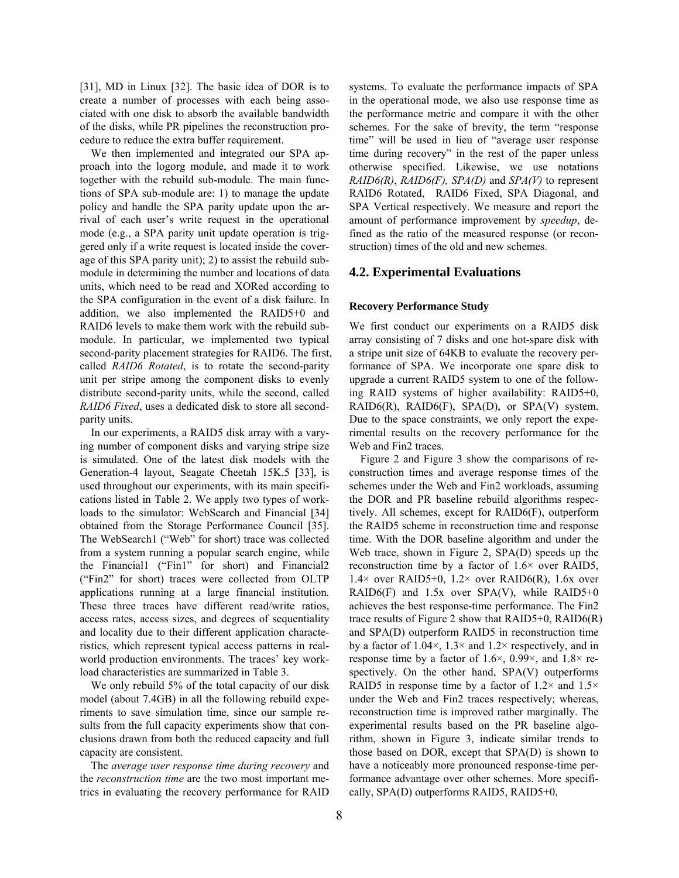[31], MD in Linux [32]. The basic idea of DOR is to create a number of processes with each being associated with one disk to absorb the available bandwidth of the disks, while PR pipelines the reconstruction procedure to reduce the extra buffer requirement.

We then implemented and integrated our SPA approach into the logorg module, and made it to work together with the rebuild sub-module. The main functions of SPA sub-module are: 1) to manage the update policy and handle the SPA parity update upon the arrival of each user's write request in the operational mode (e.g., a SPA parity unit update operation is triggered only if a write request is located inside the coverage of this SPA parity unit); 2) to assist the rebuild submodule in determining the number and locations of data units, which need to be read and XORed according to the SPA configuration in the event of a disk failure. In addition, we also implemented the RAID5+0 and RAID6 levels to make them work with the rebuild submodule. In particular, we implemented two typical second-parity placement strategies for RAID6. The first, called *RAID6 Rotated*, is to rotate the second-parity unit per stripe among the component disks to evenly distribute second-parity units, while the second, called *RAID6 Fixed*, uses a dedicated disk to store all secondparity units.

In our experiments, a RAID5 disk array with a varying number of component disks and varying stripe size is simulated. One of the latest disk models with the Generation-4 layout, Seagate Cheetah 15K.5 [33], is used throughout our experiments, with its main specifications listed in Table 2. We apply two types of workloads to the simulator: WebSearch and Financial [34] obtained from the Storage Performance Council [35]. The WebSearch1 ("Web" for short) trace was collected from a system running a popular search engine, while the Financial1 ("Fin1" for short) and Financial2 ("Fin2" for short) traces were collected from OLTP applications running at a large financial institution. These three traces have different read/write ratios, access rates, access sizes, and degrees of sequentiality and locality due to their different application characteristics, which represent typical access patterns in realworld production environments. The traces' key workload characteristics are summarized in Table 3.

We only rebuild 5% of the total capacity of our disk model (about 7.4GB) in all the following rebuild experiments to save simulation time, since our sample results from the full capacity experiments show that conclusions drawn from both the reduced capacity and full capacity are consistent.

The *average user response time during recovery* and the *reconstruction time* are the two most important metrics in evaluating the recovery performance for RAID systems. To evaluate the performance impacts of SPA in the operational mode, we also use response time as the performance metric and compare it with the other schemes. For the sake of brevity, the term "response time" will be used in lieu of "average user response time during recovery" in the rest of the paper unless otherwise specified. Likewise, we use notations *RAID6(R)*, *RAID6(F), SPA(D)* and *SPA(V)* to represent RAID6 Rotated, RAID6 Fixed, SPA Diagonal, and SPA Vertical respectively. We measure and report the amount of performance improvement by *speedup*, defined as the ratio of the measured response (or reconstruction) times of the old and new schemes.

#### **4.2. Experimental Evaluations**

#### **Recovery Performance Study**

We first conduct our experiments on a RAID5 disk array consisting of 7 disks and one hot-spare disk with a stripe unit size of 64KB to evaluate the recovery performance of SPA. We incorporate one spare disk to upgrade a current RAID5 system to one of the following RAID systems of higher availability: RAID5+0, RAID6(R), RAID6(F), SPA(D), or SPA(V) system. Due to the space constraints, we only report the experimental results on the recovery performance for the Web and Fin2 traces.

Figure 2 and Figure 3 show the comparisons of reconstruction times and average response times of the schemes under the Web and Fin2 workloads, assuming the DOR and PR baseline rebuild algorithms respectively. All schemes, except for RAID6(F), outperform the RAID5 scheme in reconstruction time and response time. With the DOR baseline algorithm and under the Web trace, shown in Figure 2, SPA(D) speeds up the reconstruction time by a factor of 1.6× over RAID5,  $1.4\times$  over RAID5+0,  $1.2\times$  over RAID6(R), 1.6x over RAID6(F) and  $1.5x$  over SPA(V), while RAID5+0 achieves the best response-time performance. The Fin2 trace results of Figure 2 show that  $RAID5+0$ ,  $RAID6(R)$ and SPA(D) outperform RAID5 in reconstruction time by a factor of 1.04 $\times$ , 1.3 $\times$  and 1.2 $\times$  respectively, and in response time by a factor of 1.6 $\times$ , 0.99 $\times$ , and 1.8 $\times$  respectively. On the other hand, SPA(V) outperforms RAID5 in response time by a factor of  $1.2\times$  and  $1.5\times$ under the Web and Fin2 traces respectively; whereas, reconstruction time is improved rather marginally. The experimental results based on the PR baseline algorithm, shown in Figure 3, indicate similar trends to those based on DOR, except that SPA(D) is shown to have a noticeably more pronounced response-time performance advantage over other schemes. More specifically, SPA(D) outperforms RAID5, RAID5+0,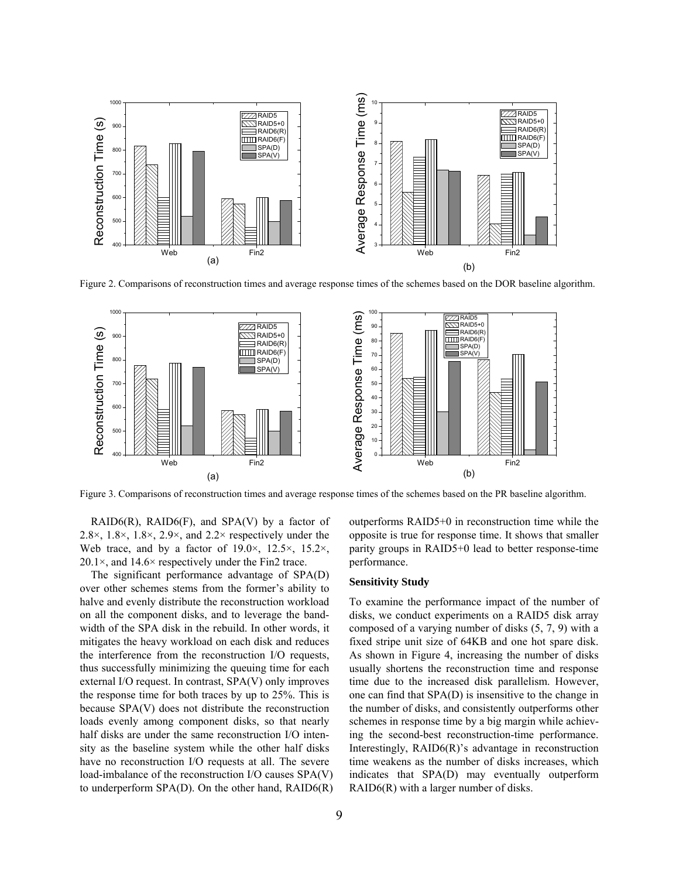

Figure 2. Comparisons of reconstruction times and average response times of the schemes based on the DOR baseline algorithm.



Figure 3. Comparisons of reconstruction times and average response times of the schemes based on the PR baseline algorithm.

RAID6(R), RAID6(F), and SPA(V) by a factor of 2.8 $\times$ , 1.8 $\times$ , 1.8 $\times$ , 2.9 $\times$ , and 2.2 $\times$  respectively under the Web trace, and by a factor of  $19.0 \times$ ,  $12.5 \times$ ,  $15.2 \times$ ,  $20.1 \times$ , and  $14.6 \times$  respectively under the Fin2 trace.

The significant performance advantage of SPA(D) over other schemes stems from the former's ability to halve and evenly distribute the reconstruction workload on all the component disks, and to leverage the bandwidth of the SPA disk in the rebuild. In other words, it mitigates the heavy workload on each disk and reduces the interference from the reconstruction I/O requests, thus successfully minimizing the queuing time for each external I/O request. In contrast, SPA(V) only improves the response time for both traces by up to 25%. This is because SPA(V) does not distribute the reconstruction loads evenly among component disks, so that nearly half disks are under the same reconstruction I/O intensity as the baseline system while the other half disks have no reconstruction I/O requests at all. The severe load-imbalance of the reconstruction I/O causes SPA(V) to underperform SPA(D). On the other hand, RAID6(R) outperforms RAID5+0 in reconstruction time while the opposite is true for response time. It shows that smaller parity groups in RAID5+0 lead to better response-time performance.

#### **Sensitivity Study**

To examine the performance impact of the number of disks, we conduct experiments on a RAID5 disk array composed of a varying number of disks (5, 7, 9) with a fixed stripe unit size of 64KB and one hot spare disk. As shown in Figure 4, increasing the number of disks usually shortens the reconstruction time and response time due to the increased disk parallelism. However, one can find that SPA(D) is insensitive to the change in the number of disks, and consistently outperforms other schemes in response time by a big margin while achieving the second-best reconstruction-time performance. Interestingly, RAID6(R)'s advantage in reconstruction time weakens as the number of disks increases, which indicates that SPA(D) may eventually outperform RAID6(R) with a larger number of disks.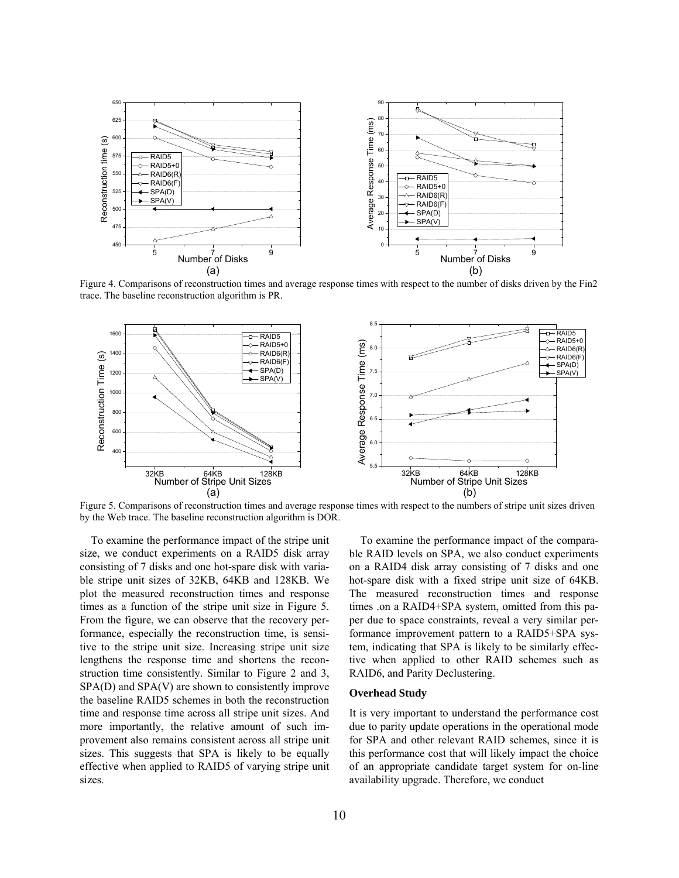

trace. The baseline reconstruction algorithm is PR.



Figure 5. Comparisons of reconstruction times and average response times with respect to the numbers of stripe unit sizes driven by the Web trace. The baseline reconstruction algorithm is DOR.

To examine the performance impact of the stripe unit size, we conduct experiments on a RAID5 disk array consisting of 7 disks and one hot-spare disk with variable stripe unit sizes of 32KB, 64KB and 128KB. We plot the measured reconstruction times and response times as a function of the stripe unit size in Figure 5. From the figure, we can observe that the recovery performance, especially the reconstruction time, is sensitive to the stripe unit size. Increasing stripe unit size lengthens the response time and shortens the reconstruction time consistently. Similar to Figure 2 and 3, SPA(D) and SPA(V) are shown to consistently improve more importantly, the relative amount of such impr ovement also remains consistent across all stripe unit the baseline RAID5 schemes in both the reconstruction time and response time across all stripe unit sizes. And sizes. This suggests that SPA is likely to be equally effective when applied to RAID5 of varying stripe unit sizes.

To examine the performance impact of the comparable RAID levels on SPA, we also conduct experiments on a RAID4 disk array consisting of 7 disks and one hot-spare disk with a fixed stripe unit size of 64KB. The measured reconstruction times and response times .on a RAID4+SPA system, omitted from this paper due to space constraints, reveal a very similar performance improvement pattern to a RAID5+SPA system, indicating that SPA is likely to be similarly effective when applied to other RAID schemes such as RAID6, and Parity Declustering.

#### **Overhead Study**

It is very important to understand the performance cost due to parity update operations in the operational mode for SPA and other relevant RAID schemes, since it is this performance cost that will likely impact the choice of an appropriate candidate target system for on-line availability upgrade. Therefore, we conduct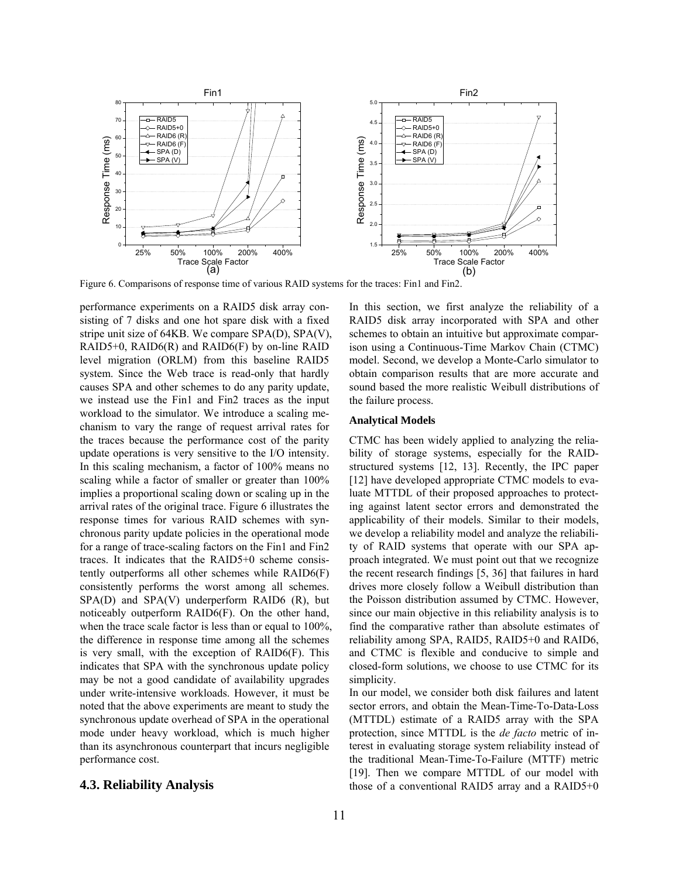

Figure 6. Comparisons of response time of various RAID systems for the traces: Fin1 and Fin2.

performance experiments on a RAID5 disk array consisting of 7 disks and one hot spare disk with a fixed stripe unit size of 64KB. We compare SPA(D), SPA(V), RAID5+0, RAID6(R) and RAID6(F) by on-line RAID level migration (ORLM) from this baseline RAID5 system. Since the Web trace is read-only that hardly causes SPA and other schemes to do any parity update, we instead use the Fin1 and Fin2 traces as the input workload to the simulator. We introduce a scaling mechanism to vary the range of request arrival rates for the traces because the performance cost of the parity update operations is very sensitive to the I/O intensity. scaling while a factor of smaller or greater than 100% In this scaling mechanism, a factor of  $100\%$  means no implies a proportional scaling down or scaling up in the arrival rates of the original trace. Figure 6 illustrates the response times for various RAID schemes with synchronous parity update policies in the operational mode for a range of trace-scaling factors on the Fin1 and Fin2 traces. It indicates that the RAID5+0 scheme consistently outperforms all other schemes while RAID6(F) consistently performs the worst among all schemes.  $SPA(D)$  and  $SPA(V)$  underperform RAID6 (R), but noticeably outperform RAID6(F). On the other hand, when the trace scale factor is less than or equal to 100%, the difference in response time among all the schemes is very small, with the exception of RAID6(F). This indicates that SPA with the synchronous update policy may be not a good candidate of availability upgrades under write-intensive workloads. However, it must be noted that the above experiments are meant to study the synchronous update overhead of SPA in the operational mode under heavy workload, which is much higher than its asynchronous counterpart that incurs negligible performance cost.

## **4.3. Reliability Analysis**

In this section, we first analyze the reliability of a RAID5 disk array incorporated with SPA and other schemes to obtain an intuitive but approximate comparison using a Continuous-Time Markov Chain (CTMC) model. Second, we develop a Monte-Carlo simulator to obtain comparison results that are more accurate and sound based the more realistic Weibull distributions of the failure process.

#### **Analytical Models**

CTMC has been widely applied to analyzing the reliability of storage systems, especially for the RAID-3]. Recently, the IPC paper [12] have developed appropriate CTMC models to evareliability among SPA, RAID5, RAID5+0 and RAID6, and CTMC is flexible and conducive to simple and closed-form solutions, we choose to use CTMC for its simplicity. luate MTTDL of their proposed approaches to protecting against latent sector errors and demonstrated the applicability of their models. Similar to their models, we develop a reliability model and analyze the reliability of RAID systems that operate with our SPA approach integrated. We must point out that we recognize the recent research findings [5, 36] that failures in hard drives more closely follow a Weibull distribution than the Poisson distribution assumed by CTMC. However, since our main objective in this reliability analysis is to find the comparative rather than absolute estimates of

those of a conventional RAID5 array and a RAID5 $+0$ In our model, we consider both disk failures and latent sector errors, and obtain the Mean-Time-To-Data-Loss (MTTDL) estimate of a RAID5 array with the SPA protection, since MTTDL is the *de facto* metric of interest in evaluating storage system reliability instead of the traditional Mean-Time-To-Failure (MTTF) metric [19]. Then we compare MTTDL of our model with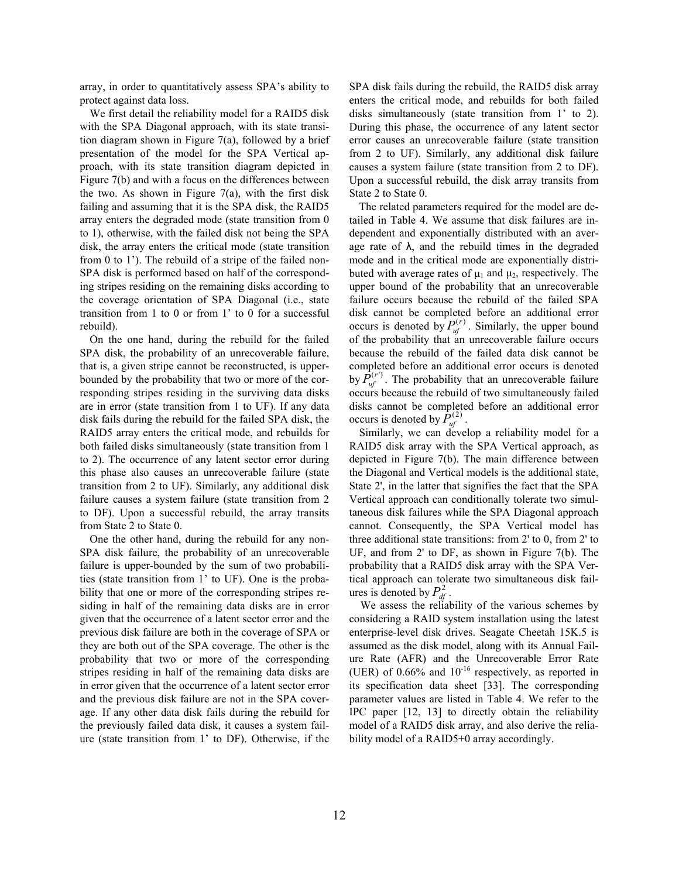array, in order to quantitatively assess SPA's ability to protect against data loss.

We first detail the reliability model for a RAID5 disk with the SPA Diagonal approach, with its state transition diagram shown in Figure 7(a), followed by a brief presentation of the model for the SPA Vertical approach, with its state transition diagram depicted in Figure 7(b) and with a focus on the differences between the two. As shown in Figure  $7(a)$ , with the first disk failing and assuming that it is the SPA disk, the RAID5 array enters the degraded mode (state transition from 0 to 1), otherwise, with the failed disk not being the SPA disk, the array enters the critical mode (state transition from 0 to 1'). The rebuild of a stripe of the failed non-SPA disk is performed based on half of the corresponding stripes residing on the remaining disks according to the coverage orientation of SPA Diagonal (i.e., state transition from 1 to 0 or from 1' to 0 for a successful rebuild).

On the one hand, during the rebuild for the failed SPA disk, the probability of an unrecoverable failure, that is, a given stripe cannot be reconstructed, is upperbounded by the probability that two or more of the corresponding stripes residing in the surviving data disks are in error (state transition from 1 to UF). If any data disk fails during the rebuild for the failed SPA disk, the RAID5 array enters the critical mode, and rebuilds for both failed disks simultaneously (state transition from 1 to 2). The occurrence of any latent sector error during this phase also causes an unrecoverable failure (state transition from 2 to UF). Similarly, any additional disk failure causes a system failure (state transition from 2 to DF). Upon a successful rebuild, the array transits from State 2 to State 0.

One the other hand, during the rebuild for any non-SPA disk failure, the probability of an unrecoverable failure is upper-bounded by the sum of two probabilities (state transition from 1' to UF). One is the probability that one or more of the corresponding stripes residing in half of the remaining data disks are in error given that the occurrence of a latent sector error and the previous disk failure are both in the coverage of SPA or they are both out of the SPA coverage. The other is the probability that two or more of the corresponding stripes residing in half of the remaining data disks are in error given that the occurrence of a latent sector error and the previous disk failure are not in the SPA coverage. If any other data disk fails during the rebuild for the previously failed data disk, it causes a system failure (state transition from 1' to DF). Otherwise, if the SPA disk fails during the rebuild, the RAID5 disk array enters the critical mode, and rebuilds for both failed disks simultaneously (state transition from 1' to 2). During this phase, the occurrence of any latent sector error causes an unrecoverable failure (state transition from 2 to UF). Similarly, any additional disk failure causes a system failure (state transition from 2 to DF). Upon a successful rebuild, the disk array transits from State 2 to State 0.

The related parameters required for the model are detailed in Table 4. We assume that disk failures are independent and exponentially distributed with an average rate of  $\lambda$ , and the rebuild times in the degraded mode and in the critical mode are exponentially distributed with average rates of  $\mu_1$  and  $\mu_2$ , respectively. The upper bound of the probability that an unrecoverable failure occurs because the rebuild of the failed SPA disk cannot be completed before an additional error occurs is denoted by  $P_{uf}^{(r)}$ . Similarly, the upper bound of the probability that an unrecoverable failure occurs because the rebuild of the failed data disk cannot be completed before an additional error occurs is denoted by  $\hat{P}_{uf}^{(r)}$ . The probability that an unrecoverable failure occurs because the rebuild of two simultaneously failed disks cannot be completed before an additional error occurs is denoted by  $P_{uf}^{(2)}$ .

cannot. Consequently, the SPA Vertical model has th ree additional state transitions: from 2' to 0, from 2' to Similarly, we can develop a reliability model for a RAID5 disk array with the SPA Vertical approach, as depicted in Figure 7(b). The main difference between the Diagonal and Vertical models is the additional state, State 2', in the latter that signifies the fact that the SPA Vertical approach can conditionally tolerate two simultaneous disk failures while the SPA Diagonal approach UF, and from 2' to DF, as shown in Figure 7(b). The probability that a RAID5 disk array with the SPA Vertical approach can tolerate two simultaneous disk failures is denoted by  $P_{\text{df}}^2$ .

IPC paper  $[12, 13]$  to directly obtain the reliability We assess the reliability of the various schemes by considering a RAID system installation using the latest enterprise-level disk drives. Seagate Cheetah 15K.5 is assumed as the disk model, along with its Annual Failure Rate (AFR) and the Unrecoverable Error Rate (UER) of  $0.66\%$  and  $10^{-16}$  respectively, as reported in its specification data sheet [33]. The corresponding parameter values are listed in Table 4. We refer to the model of a RAID5 disk array, and also derive the reliability model of a RAID5+0 array accordingly.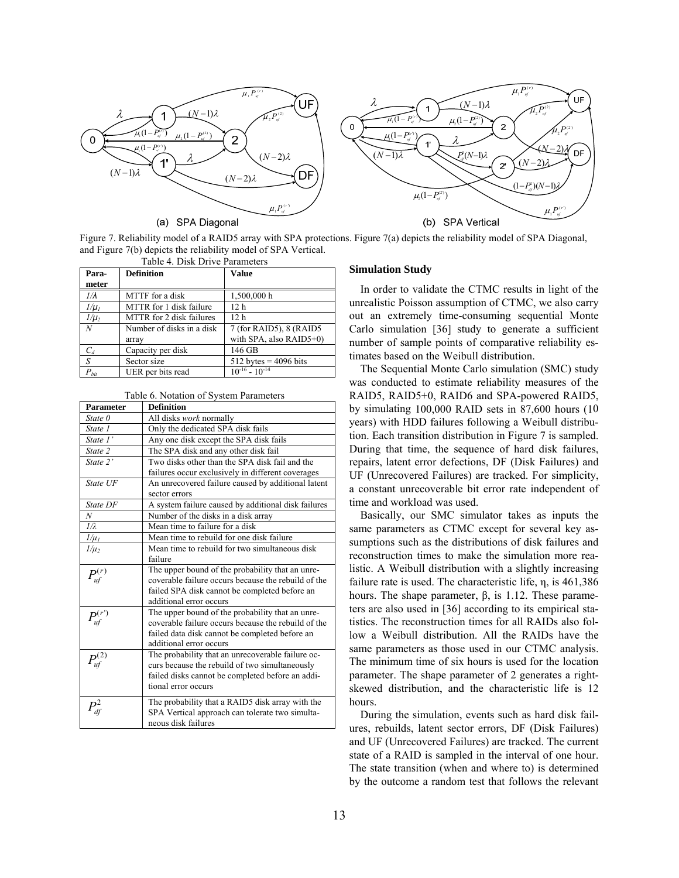

Figure 7. Reliability model of a RAID5 array with SPA protections. Figure 7(a) depicts the reliability model of SPA Diagonal, and Figure 7(b) depicts the reliability model of SPA Vertical.

| Table 4. Disk Drive Parameters |                           |                          |  |  |  |
|--------------------------------|---------------------------|--------------------------|--|--|--|
| Para-<br>meter                 | <b>Definition</b>         | <b>Value</b>             |  |  |  |
|                                |                           |                          |  |  |  |
| $1/\lambda$                    | MTTF for a disk           | 1,500,000 h              |  |  |  |
| $1/\mu_I$                      | MTTR for 1 disk failure   | 12 h                     |  |  |  |
| $1/\mu_2$                      | MTTR for 2 disk failures  | 12 <sub>h</sub>          |  |  |  |
| N                              | Number of disks in a disk | 7 (for RAID5), 8 (RAID5) |  |  |  |
|                                | array                     | with SPA, also RAID5+0)  |  |  |  |
| $C_d$                          | Capacity per disk         | 146 GB                   |  |  |  |
| S                              | Sector size               | $512$ bytes = 4096 bits  |  |  |  |
| $P_{\mathit{bit}}$             | UER per bits read         | $10^{-16} - 10^{-14}$    |  |  |  |

| <b>Parameter</b> | <b>Definition</b>                                                   |  |  |
|------------------|---------------------------------------------------------------------|--|--|
| State 0          | All disks work normally                                             |  |  |
| State 1          | Only the dedicated SPA disk fails                                   |  |  |
| State 1'         | Any one disk except the SPA disk fails                              |  |  |
| State 2          | The SPA disk and any other disk fail                                |  |  |
| State 2'         | Two disks other than the SPA disk fail and the                      |  |  |
|                  | failures occur exclusively in different coverages                   |  |  |
| State UF         | An unrecovered failure caused by additional latent<br>sector errors |  |  |
| State DF         | A system failure caused by additional disk failures                 |  |  |
| N                | Number of the disks in a disk array                                 |  |  |
| 1/λ              | Mean time to failure for a disk                                     |  |  |
| $1/\mu_I$        | Mean time to rebuild for one disk failure                           |  |  |
| $1/\mu_2$        | Mean time to rebuild for two simultaneous disk                      |  |  |
|                  | failure                                                             |  |  |
| $P_{uf}^{(r)}$   | The upper bound of the probability that an unre-                    |  |  |
|                  | coverable failure occurs because the rebuild of the                 |  |  |
|                  | failed SPA disk cannot be completed before an                       |  |  |
|                  | additional error occurs                                             |  |  |
| $P^{(r)}$        | The upper bound of the probability that an unre-                    |  |  |
|                  | coverable failure occurs because the rebuild of the                 |  |  |
|                  | failed data disk cannot be completed before an                      |  |  |
|                  | additional error occurs                                             |  |  |
| $P^{(2)}$        | The probability that an unrecoverable failure oc-                   |  |  |
|                  | curs because the rebuild of two simultaneously                      |  |  |
|                  | failed disks cannot be completed before an addi-                    |  |  |
|                  | tional error occurs                                                 |  |  |
|                  | The probability that a RAID5 disk array with the                    |  |  |
|                  | SPA Vertical approach can tolerate two simulta-                     |  |  |
|                  | neous disk failures                                                 |  |  |

#### **Simulation Study**

In order to validate the CTMC results in light of the unrealistic Poisson assumption of CTMC, we also carry out an extremely time-consuming sequential Monte Carlo simulation [36] study to generate a sufficient number of sample points of comparative reliability estimates based on the Weibull distribution.

The Sequential Monte Carlo simulation (SMC) study was conducted to estimate reliability measures of the RAID5, RAID5+0, RAID6 and SPA-powered RAID5, by simulating  $100,000$  RAID sets in 87,600 hours  $(10)$ years) with HDD failures following a Weibull distribution. Each transition distribution in Figure 7 is sampled. During that tim e, the sequence of hard disk failures, repairs, latent error defections, DF (Disk Failures) and UF (Unrecovered Failures) are tracked. For simplicity, a constant unrecoverable bit error rate independent of time and workload was used.

Basically, our SMC simulator takes as inputs the same parameters as CTMC except for several key assumptions such as the distributions of disk failures and reconstruction times to make the simulation more realis tic. A Weibull distribution with a slightly increasing low a Weibull distribution. All the RAIDs have the sa me parameters as those used in our CTMC analysis. failure rate is used. The characteristic life, η, is 461,386 hours. The shape parameter,  $β$ , is 1.12. These parameters are also used in [36] according to its empirical statistics. The reconstruction times for all RAIDs also fol-The minimum time of six hours is used for the location parameter. The shape parameter of 2 generates a rightskewed distribution, and the characteristic life is 12 hours.

by the outcome a random test that follows the relevant During the simulation, events such as hard disk failures, rebuilds, latent sector errors, DF (Disk Failures) and UF (Unrecovered Failures) are tracked. The current state of a RAID is sampled in the interval of one hour. The state transition (when and where to) is determined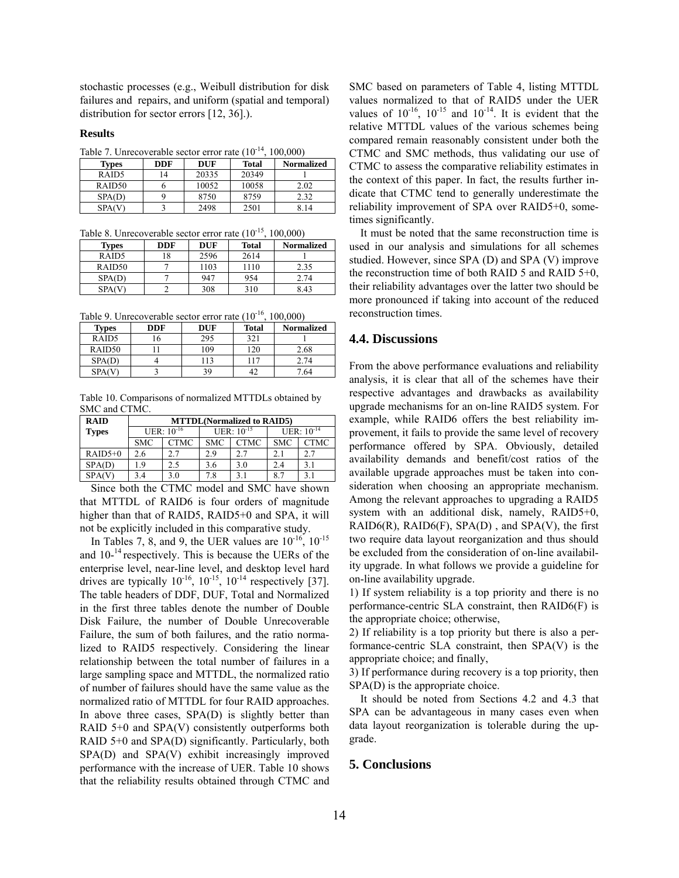stochastic processes (e.g., Weibull distribution for disk failures and repairs, and uniform (spatial and temporal) distribution for sector errors [12, 36].).

#### **Results**

Table 7. Unrecoverable sector error rate  $(10^{-14}, 100,000)$ 

| <b>Types</b>       | <b>DDF</b>     | <b>DUF</b> | Total | Normalized |
|--------------------|----------------|------------|-------|------------|
| RAID <sub>5</sub>  | $\overline{4}$ | 20335      | 20349 |            |
| RAID <sub>50</sub> |                | 10052      | 10058 | 2.02       |
| SPA(D)             |                | 8750       | 8759  | 2.32       |
| <b>SPA(V)</b>      |                | 2498       | 2501  |            |

Table 8. Unrecoverable sector error rate  $(10^{-15}, 100,000)$ 

| <b>Types</b>      | <b>DDF</b> | DUF  | Total | <b>Normalized</b> |
|-------------------|------------|------|-------|-------------------|
| RAID <sub>5</sub> | 18         | 2596 | 2614  |                   |
| RAID50            |            | 1103 | 1110  | 2.35              |
| SPA(D)            |            | 947  | 954   | 2.74              |
|                   |            | 308  | 310   | 8 43              |

Table 9. Unrecoverable sector error rate  $(10^{-16}, 100,000)$ 

| <b>Types</b>       | <b>DDF</b> | DUF | <b>Total</b> | <b>Normalized</b> |  |
|--------------------|------------|-----|--------------|-------------------|--|
| RAID5              |            | 295 | 321          |                   |  |
| RAID <sub>50</sub> |            | 109 | $120^{-1}$   | 2.68              |  |
| SPA(D)             |            | 113 | 117          | 2.74              |  |
| <b>SPA(V</b>       |            | 39  | 42           | 7.64              |  |

Table 10. Comparisons of normalized MTTDLs obtained by SMC and CTMC.

| <b>RAID</b><br><b>MTTDL</b> (Normalized to RAID5) |            |                 |                 |             |                 |             |
|---------------------------------------------------|------------|-----------------|-----------------|-------------|-----------------|-------------|
| <b>Types</b>                                      |            | UER: $10^{-16}$ | UER: $10^{-15}$ |             | $UER: 10^{-14}$ |             |
|                                                   | <b>SMC</b> | <b>CTMC</b>     | <b>SMC</b>      | <b>CTMC</b> | <b>SMC</b>      | <b>CTMC</b> |
| $RAID5+0$                                         | 2.6        | 2.7             | 2.9             | 2.7         | 2.1             | 2.7         |
| SPA(D)                                            | 19         | 2.5             | 3.6             | 3.0         | 2.4             | 3.1         |
| SPA(V)                                            | 3.4        | 3.0             | 7.8             |             | 8.7             |             |

Since both the CTMC model and SMC have shown that MTTDL of RAID6 is four orders of magnitude higher than that of RAID5, RAID5+0 and SPA, it will not be explicitly included in this comparative study.

In Tables 7, 8, and 9, the UER values are  $10^{-16}$ ,  $10^{-15}$ and  $10^{-14}$  respectively. This is because the UERs of the enterprise level, near-line level, and desktop level hard drives are typically  $10^{-16}$ ,  $10^{-15}$ ,  $10^{-14}$  respectively [37]. The table headers of DDF, DUF, Total and Normalized in the first three tables denote the number of Double Disk Failure, the number of Double Unrecoverable Failure, the sum of both failures, and the ratio normalized to RAID5 respectively. Considering the linear relationship between the total number of failures in a of number of failures should have the same value as the normalized ratio of MTTDL for four RAID approaches. In above three cases,  $SPA(D)$  is slightly better than RAID  $5+0$  and SPA(V) consistently outperforms both RAID  $5+0$  and  $SPA(D)$  significantly. Particularly, both  $SPA(D)$  and  $SPA(V)$  exhibit increasingly improved pe rformance with the increase of UER. Table 10 shows large sampling space and MTTDL, the normalized ratio that the reliability results obtained through CTMC and

values normalized to that of RAID5 under the UER values of  $10^{-16}$ ,  $10^{-15}$  and  $10^{-14}$ . It is evident that the SMC based on parameters of Table 4, listing MTTDL relative MTTDL values of the various schemes being compared remain reasonably consistent under both the CTMC and SMC methods, thus validating our use of CTMC to assess the comparative reliability estimates in the context of this paper. In fact, the results further indicate that CTMC tend to generally underestimate the reliability improvement of SPA over RAID5+0, sometimes significantly.

It must be noted that the same reconstruction time is used in our analysis and simulations for all schemes studied. However, since SPA (D) and SPA (V) improve the reconstruction time of both RAID 5 and RAID 5+0, their reliability advantages over the latter two should be more pronounced if taking into account of the reduced reconstruction times.

#### **4.4. Discussions**

Among the relevant approaches to upgrading a RAID5 sy stem with an additional disk, namely, RAID5+0, From the above performance evaluations and reliability analysis, it is clear that all of the schemes have their respective advantages and drawbacks as availability upgrade mechanisms for an on-line RAID5 system. For example, while RAID6 offers the best reliability improvement, it fails to provide the same level of recovery performance offered by SPA. Obviously, detailed availability demands and benefit/cost ratios of the available upgrade approaches must be taken into consideration when choosing an appropriate mechanism. RAID6(R), RAID6(F),  $SPA(D)$ , and  $SPA(V)$ , the first two require data layout reorganization and thus should be excluded from the consideration of on-line availability upgrade. In what follows we provide a guideline for on-line availability upgrade.

1) If system reliability is a top priority and there is no performance-centric SLA constraint, then RAID6(F) is the appropriate choice; otherwise,

2) If reliability is a top priority but there is also a performance-centric SLA constraint, then SPA(V) is the appropriate choice; and finally,

3) If performance during recovery is a top priority, then SPA(D) is the appropriate choice.

It should be noted from Sections 4.2 and 4.3 that SPA can be advantageous in many cases even when data layout reorganization is tolerable during the upgrade.

# **5. Conclusions**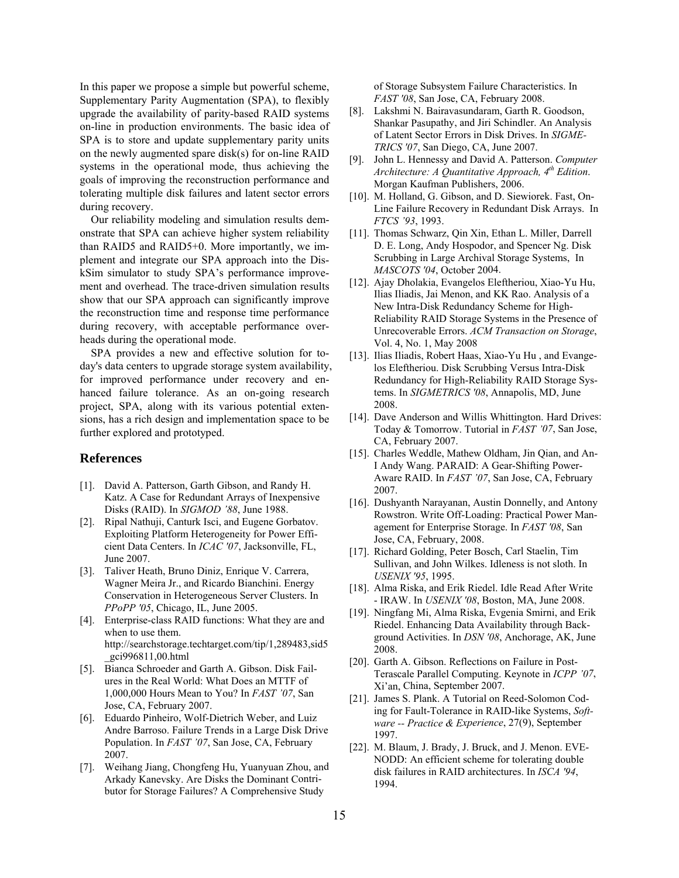In this paper we propose a simple but powerful scheme, Supplementary Parity Augmentation (SPA), to flexibly upgrade the availability of parity-based RAID systems on-line in production environments. The basic idea of SPA is to store and update supplementary parity units goals of improving the reconstruction performance and on the newly augmented spare disk(s) for on-line RAID systems in the operational mode, thus achieving the tolerating multiple disk failures and latent sector errors during recovery.

Our reliability modeling and simulation results demthan RAID5 and RAID5+0. More importantly, we impl ement and integrate our SPA approach into the Disshow that our SPA approach can significantly improve the reconstruction time and response time performance during recovery, with acceptable performance overheads during the operational mode. onstrate that SPA can achieve higher system reliability kSim simulator to study SPA's performance improvement and overhead. The trace-driven simulation results

SPA provides a new and effective solution for today's data centers to upgrade storage system availability, for improved performance under recovery and enhanced failure tolerance. As an on-going research project, SPA, along with its various potential extensions, has a rich design and implementation space to be further explored and prototyped.

#### **References**

- [1]. David A. Patterson, Garth Gibson, and Randy H. Katz. A Case for Redundant Arrays of Inexpensive Disks (RAID). In *SIGMOD '88*, June 1988.
- [2]. Ripal Nathuji, Canturk Isci, and Eugene Gorbatov. Exploiting Platform Heterogeneity for Power Efficient Data Centers. In *ICAC '07*, Jacksonville, FL, June 2007.
- PPoPP '05, Chicago, IL, June 2005. [3]. Taliver Heath, Bruno Diniz, Enrique V. Carrera, Wagner Meira Jr., and Ricardo Bianchini. Energy Conservation in Heterogeneous Server Clusters. In
- [4]. Enterprise-class RAID functions: What they are and when to use them. http://searchstorage.techtarget.com/tip/1,289483,sid5 \_gci996811,00.html
- [5]. Bianca Schroeder and Garth A. Gibson. Disk Failures in the Real World: What Does an MTTF of 1,000,000 Hours Mean to You? In *FAST '07*, San Jose, CA, February 2007.
- [6]. Eduardo Pinheiro, Wolf-Dietrich Weber, and Luiz Andre Barroso. Failure Trends in a Large Disk Drive 1997. Population. In *FAST '07*, San Jose, CA, February 2007.
- [7]. Weihang Jiang, Chongfeng Hu, Yuanyuan Zhou, and Arkady Kanevsky. Are Disks the Dominant Contributor for Storage Failures? A Comprehensive Study

of Storage Subsystem Failure Characteristics. In *FAST '08*, San Jose, CA, February 2008.

- Shankar Pasupathy, and Jiri Schindler. An Analysis <sup>1</sup>
units of Latent Sector Errors in Disk Drives. In *SIGME TRICS '07*, San Diego, CA, June 2007. [8]. Lakshmi N. Bairavasundaram, Garth R. Goodson,
	- [9]. John L. Hennessy and David A. Patterson. *Computer Architecture: A Quantitative Approach, 4<sup>th</sup> Edition.* Morgan Kaufman Publishers, 2006.
	- [10]. M. Holland, G. Gibson, and D. Siewiorek. Fast, On-Line Failure Recovery in Redundant Disk Arrays. In *FTCS '93*, 1993.
	- [11]. Thomas Schwarz, Qin Xin, Ethan L. Miller, Darrell D. E. Long, Andy Hospodor, and Spencer Ng. Disk *MASCOTS '04*, October 2004. Scrubbing in Large Archival Storage Systems, In
	- , [12]. Ajay Dholakia, Evangelos Eleftheriou, Xiao-Yu Hu Reliability RAID Storage Systems in the Presence of Ilias Iliadis, Jai Menon, and KK Rao. Analysis of a New Intra-Disk Redundancy Scheme for High-Unrecoverable Errors. *ACM Transaction on Storage*, Vol. 4, No. 1, May 2008
	- Redundancy for High-Reliability RAID Storage Sys-[13]. Ilias Iliadis, Robert Haas, Xiao-Yu Hu , and Evangelos Eleftheriou. Disk Scrubbing Versus Intra-Disk tems. In *SIGMETRICS '08*, Annapolis, MD, June 2008.
	- [14]. Dave Anderson and Willis Whittington. Hard Drives: Today & Tomorrow. Tutorial in *FAST '07*, San Jose, CA, February 2007.
	- I Andy Wang. PARAID: A Gear-Shifting Power-[15]. Charles Weddle, Mathew Oldham, Jin Qian, and An-Aware RAID. In *FAST '07*, San Jose, CA, February 2007.
	- [16]. Dushyanth Narayanan, Austin Donnelly, and Antony Rowstron. Write Off-Loading: Practical Power Management for Enterprise Storage. In *FAST '08*, San Jose, CA, February, 2008.
	- [17]. Richard Golding, Peter Bosch, Carl Staelin, Tim Sullivan, and John Wilkes. Idleness is not sloth. In *USENIX '95*, 1995.
	- [18]. Alma Riska, and Erik Riedel. Idle Read After Write - IRAW. In *USENIX '08*, Boston, MA, June 2008.
	- Riedel. Enhancing Data Availability through Back-[19]. Ningfang Mi, Alma Riska, Evgenia Smirni, and Erik ground Activities. In *DSN '08*, Anchorage, AK, June 2008.
	- *7*, Terascale Parallel Computing. Keynote in *ICPP '0* Xi'an, China, September 2007. [20]. Garth A. Gibson. Reflections on Failure in Post-
	- *xperience*, 27(9), September *ware -- Practice & E* [21]. James S. Plank. A Tutorial on Reed-Solomon Coding for Fault-Tolerance in RAID-like Systems, *Soft-*
	- [22]. M. Blaum, J. Brady, J. Bruck, and J. Menon. EVEdisk failures in RAID architectures. In *ISCA '94*, 1994. NODD: An efficient scheme for tolerating double